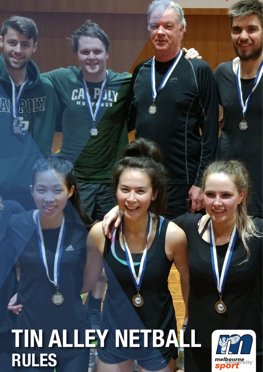# || **TIN ALLEY NETBALL RULES**

PUEZ

 $\frac{1}{2}$ 

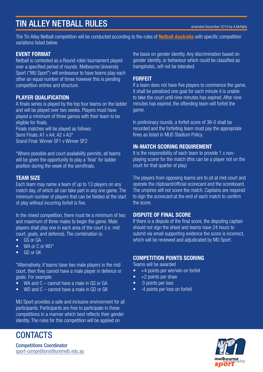## TIN ALLEY NETBALL RULES

amended December 2019 by A.McNally

The Tin Alley Netball competition will be conducted according to the rules of Netball Australia with specific competition variations listed below.

#### EVENT FORMAT

Netball is contested as a Round-robin tournament played over a specified period of rounds. Melbourne University Sport ("MU Sport") will endeavour to have teams play each other an equal number of times however this is pending competition entries and structure.

#### PLAYER QUALIFICATION

A finals series is played by the top four teams on the ladder and will be played over two weeks. Players must have played a minimum of three games with their team to be eligible for finals.

Finals matches will be played as follows: Semi Finals: A1 v A4; A2 v A3\* Grand Final: Winner SF1 v Winner SF2

\*Where possible and court availability permits, all teams will be given the opportunity to play a 'final' for ladder position during the week of the semifinals.

#### TEAM SIZE

Each team may name a team of up to 13 players on any match day, of which all can take part in any one game. The minimum number of players that can be fielded at the start of play without incurring forfeit is five.

In the mixed competition, there must be a minimum of two and maximum of three males to begin the game. Male players shall play one in each area of the court (i.e. mid court, goals, and defence). The combination is:

- GS or GA
- WA or C or WD<sup>\*</sup>
- GD or GK

\*Alternatively, if teams have two male players in the mid court, then they cannot have a male player in defence or goals. For example:

- WA and C cannot have a male in GS or GA
- WD and C cannot have a male in GD or GK

MU Sport provides a safe and inclusive environment for all participants. Participants are free to participate in these competitions in a manner which best reflects their gender identity. The rules for this competition will be applied on

the basis on gender identity. Any discrimination based on gender identity, or behaviour which could be classified as transphobic, will not be tolerated.

#### FORFEIT

If a team does not have five players to commence the game, it shall be penalized one goal for each minute it is unable to take the court until nine minutes has expired. After nine minutes has expired, the offending team will forfeit the game.

In preliminary rounds, a forfeit score of 36-0 shall be recorded and the forfeiting team must pay the appropriate fines as listed in MUS Stadium Policy.

#### IN-MATCH SCORING REQUIREMENT

It is the responsibility of each team to provide 1 x nonplaying scorer for the match (this can be a player not on the court for that quarter of play)

The players from opposing teams are to sit at mid-court and operate the clipboard/official scorecard and the scoreboard. The umpires will not score the match. Captains are required to sign the scorecard at the end of each match to confirm the score.

#### DISPUTE OF FINAL SCORE

If there is a dispute of the final score, the disputing captain should not sign the sheet and teams have 24 hours to submit via email supporting evidence the score is incorrect, which will be reviewed and adjudicated by MU Sport.

#### COMPETITION POINTS SCORING

Teams will be awarded

- $\bullet$  +4 points per win/win on forfeit
- $\bullet$  +2 points per draw
- 0 points per loss
- -4 points per loss on forfeit



**CONTACTS** 

Competitions Coordinator sport-competitions@unimelb.edu.au